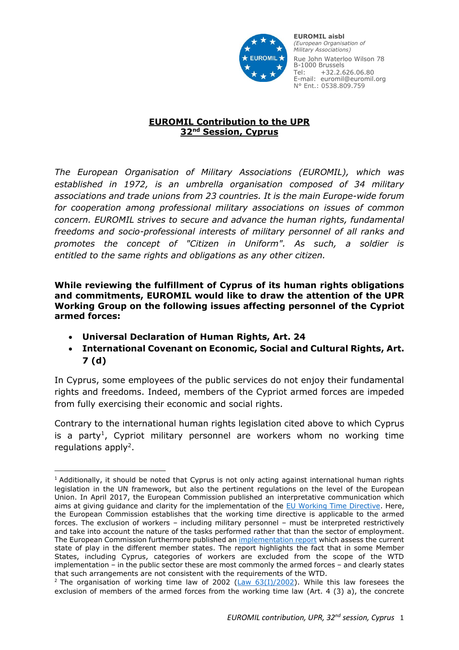

**European Organisation EUROMIL aisbl of Military Associations** *(European Organisation of* 33, av. Général de Gaulle *Military Associations)* Rue John Waterloo Wilson 78 B-1000 Brussels Fax: 0032.2.626.06.99 Tel: +32.2.626.06.80 Email: euromil@euromil.org N° Ent.: 0538.809.759 E-mail: euromil@euromil.org

## **EUROMIL Contribution to the UPR 32nd Session, Cyprus**

*The European Organisation of Military Associations (EUROMIL), which was established in 1972, is an umbrella organisation composed of 34 military associations and trade unions from 23 countries. It is the main Europe-wide forum for cooperation among professional military associations on issues of common concern. EUROMIL strives to secure and advance the human rights, fundamental freedoms and socio-professional interests of military personnel of all ranks and promotes the concept of "Citizen in Uniform". As such, a soldier is entitled to the same rights and obligations as any other citizen.*

**While reviewing the fulfillment of Cyprus of its human rights obligations and commitments, EUROMIL would like to draw the attention of the UPR Working Group on the following issues affecting personnel of the Cypriot armed forces:**

- **Universal Declaration of Human Rights, Art. 24**
- **International Covenant on Economic, Social and Cultural Rights, Art. 7 (d)**

In Cyprus, some employees of the public services do not enjoy their fundamental rights and freedoms. Indeed, members of the Cypriot armed forces are impeded from fully exercising their economic and social rights.

Contrary to the international human rights legislation cited above to which Cyprus is a party<sup>1</sup>, Cypriot military personnel are workers whom no working time regulations apply<sup>2</sup>.

<sup>1</sup> <sup>1</sup> Additionally, it should be noted that Cyprus is not only acting against international human rights legislation in the UN framework, but also the pertinent regulations on the level of the European Union. In April 2017, the European Commission published an interpretative communication which aims at giving guidance and clarity for the implementation of the [EU Working Time Directive.](http://ec.europa.eu/social/main.jsp?catId=1314&langId=en) Here, the European Commission establishes that the working time directive is applicable to the armed forces. The exclusion of workers – including military personnel – must be interpreted restrictively and take into account the nature of the tasks performed rather that than the sector of employment. The European Commission furthermore published an *[implementation report](https://eur-lex.europa.eu/legal-content/EN/TXT/?qid=1494930833556&uri=CELEX:52017DC0254)* which assess the current state of play in the different member states. The report highlights the fact that in some Member States, including Cyprus, categories of workers are excluded from the scope of the WTD implementation – in the public sector these are most commonly the armed forces – and clearly states that such arrangements are not consistent with the requirements of the WTD.

<sup>&</sup>lt;sup>2</sup> The organisation of working time law of 2002 (Law  $63(1)/2002$ ). While this law foresees the exclusion of members of the armed forces from the working time law (Art. 4 (3) a), the concrete